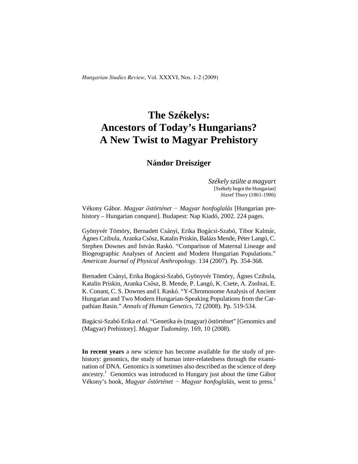# **The Székelys: Ancestors of Today's Hungarians? A New Twist to Magyar Prehistory**

## **Nándor Dreisziger**

*Székely szülte a magyart* [Székely begot the Hungarian] József Thury (1861-1906)

Vékony Gábor. *Magyar őstörténet − Magyar honfoglalás* [Hungarian prehistory – Hungarian conquest]. Budapest: Nap Kiadó, 2002. 224 pages.

Gyönyvér Tömöry, Bernadett Csányi, Erika Bogácsi-Szabó, Tibor Kalmár, Ágnes Czibula, Aranka Csősz, Katalin Priskin, Balázs Mende, Péter Langó, C. Stephen Downes and István Raskó. "Comparison of Maternal Lineage and Biogeographic Analyses of Ancient and Modern Hungarian Populations." *American Journal of Physical Anthropology.* 134 (2007). Pp. 354-368.

Bernadett Csányi, Erika Bogácsi-Szabó, Gyönyvér Tömöry, Ágnes Czibula, Katalin Priskin, Aranka Csősz, B. Mende, P. Langó, K. Csete, A. Zsolnai, E. K. Conant, C. S. Downes and I. Raskó. "Y-Chromosome Analysis of Ancient Hungarian and Two Modern Hungarian-Speaking Populations from the Carpathian Basin." *Annals of Human Genetics*, 72 (2008). Pp. 519-534.

Bagácsi-Szabó Erika *et al*. "Genetika és (magyar) őstörténet" [Genomics and (Magyar) Prehistory]. *Magyar Tudomány,* 169, 10 (2008).

**In recent years** a new science has become available for the study of prehistory: genomics, the study of human inter-relatedness through the examination of DNA. Genomics is sometimes also described as the science of deep ancestry.<sup>1</sup> Genomics was introduced to Hungary just about the time Gábor Vékony's book, *Magyar őstörténet − Magyar honfoglalás*, went to press.<sup>2</sup>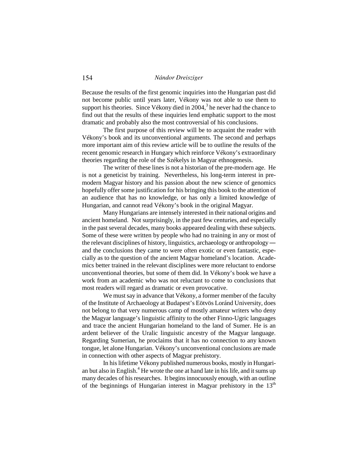Because the results of the first genomic inquiries into the Hungarian past did not become public until years later, Vékony was not able to use them to support his theories. Since Vékony died in 2004, 3 he never had the chance to find out that the results of these inquiries lend emphatic support to the most dramatic and probably also the most controversial of his conclusions.

The first purpose of this review will be to acquaint the reader with Vékony's book and its unconventional arguments. The second and perhaps more important aim of this review article will be to outline the results of the recent genomic research in Hungary which reinforce Vékony's extraordinary theories regarding the role of the Székelys in Magyar ethnogenesis.

The writer of these lines is not a historian of the pre-modern age. He is not a geneticist by training. Nevertheless, his long-term interest in premodern Magyar history and his passion about the new science of genomics hopefully offer some justification for his bringing this book to the attention of an audience that has no knowledge, or has only a limited knowledge of Hungarian, and cannot read Vékony's book in the original Magyar.

Many Hungarians are intensely interested in their national origins and ancient homeland. Not surprisingly, in the past few centuries, and especially in the past several decades, many books appeared dealing with these subjects. Some of these were written by people who had no training in any or most of the relevant disciplines of history, linguistics, archaeology or anthropology― and the conclusions they came to were often exotic or even fantastic, especially as to the question of the ancient Magyar homeland's location. Academics better trained in the relevant disciplines were more reluctant to endorse unconventional theories, but some of them did. In Vékony's book we have a work from an academic who was not reluctant to come to conclusions that most readers will regard as dramatic or even provocative.

We must say in advance that Vékony, a former member of the faculty of the Institute of Archaeology at Budapest's Eötvös Loránd University, does not belong to that very numerous camp of mostly amateur writers who deny the Magyar language's linguistic affinity to the other Finno-Ugric languages and trace the ancient Hungarian homeland to the land of Sumer. He is an ardent believer of the Uralic linguistic ancestry of the Magyar language. Regarding Sumerian, he proclaims that it has no connection to any known tongue, let alone Hungarian. Vékony's unconventional conclusions are made in connection with other aspects of Magyar prehistory.

In his lifetime Vékony published numerous books, mostly in Hungarian but also in English.<sup>4</sup> He wrote the one at hand late in his life, and it sums up many decades of his researches. It begins innocuously enough, with an outline of the beginnings of Hungarian interest in Magyar prehistory in the  $13<sup>th</sup>$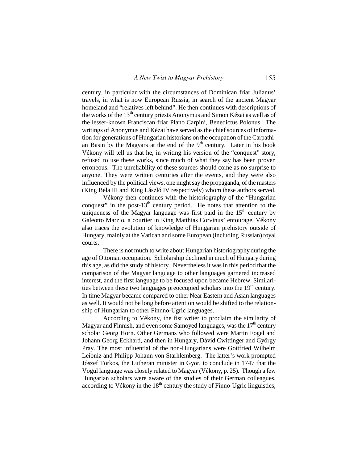century, in particular with the circumstances of Dominican friar Julianus' travels, in what is now European Russia, in search of the ancient Magyar homeland and "relatives left behind". He then continues with descriptions of the works of the  $13<sup>th</sup>$  century priests Anonymus and Simon Kézai as well as of the lesser-known Franciscan friar Plano Carpini, Benedictus Polonus. The writings of Anonymus and Kézai have served as the chief sources of information for generations of Hungarian historians on the occupation of the Carpathian Basin by the Magyars at the end of the  $9<sup>th</sup>$  century. Later in his book Vékony will tell us that he, in writing his version of the "conquest" story, refused to use these works, since much of what they say has been proven erroneous. The unreliability of these sources should come as no surprise to anyone. They were written centuries after the events, and they were also influenced by the political views, one might say the propaganda, of the masters (King Béla III and King László IV respectively) whom these authors served.

Vékony then continues with the historiography of the "Hungarian conquest" in the post-13<sup>th</sup> century period. He notes that attention to the uniqueness of the Magyar language was first paid in the  $15<sup>th</sup>$  century by Galeotto Marzio, a courtier in King Matthias Corvinus' entourage. Vékony also traces the evolution of knowledge of Hungarian prehistory outside of Hungary, mainly at the Vatican and some European (including Russian) royal courts.

There is not much to write about Hungarian historiography during the age of Ottoman occupation. Scholarship declined in much of Hungary during this age, as did the study of history. Nevertheless it was in this period that the comparison of the Magyar language to other languages garnered increased interest, and the first language to be focused upon became Hebrew. Similarities between these two languages preoccupied scholars into the  $19<sup>th</sup>$  century. In time Magyar became compared to other Near Eastern and Asian languages as well. It would not be long before attention would be shifted to the relationship of Hungarian to other Finnno-Ugric languages.

According to Vékony, the fist writer to proclaim the similarity of Magyar and Finnish, and even some Samoyed languages, was the  $17<sup>th</sup>$  century scholar Georg Horn. Other Germans who followed were Martin Fogel and Johann Georg Eckhard, and then in Hungary, Dávid Cwittinger and György Pray. The most influential of the non-Hungarians were Gottfried Wilhelm Leibniz and Philipp Johann von Starhlemberg. The latter's work prompted Jószef Torkos, the Lutheran minister in Győr, to conclude in 1747 that the Vogul language was closely related to Magyar (Vékony, p. 25). Though a few Hungarian scholars were aware of the studies of their German colleagues, according to Vékony in the  $18<sup>th</sup>$  century the study of Finno-Ugric linguistics,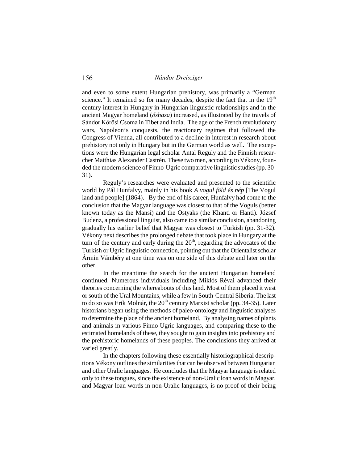and even to some extent Hungarian prehistory, was primarily a "German science." It remained so for many decades, despite the fact that in the  $19<sup>th</sup>$ century interest in Hungary in Hungarian linguistic relationships and in the ancient Magyar homeland (*őshaza*) increased, as illustrated by the travels of Sándor Kőrösi Csoma in Tibet and India. The age of the French revolutionary wars, Napoleon's conquests, the reactionary regimes that followed the Congress of Vienna, all contributed to a decline in interest in research about prehistory not only in Hungary but in the German world as well. The exceptions were the Hungarian legal scholar Antal Reguly and the Finnish researcher Matthias Alexander Castrén. These two men, according to Vékony, founded the modern science of Finno-Ugric comparative linguistic studies (pp. 30- 31).

Reguly's researches were evaluated and presented to the scientific world by Pál Hunfalvy, mainly in his book *A vogul föld és nép* [The Vogul land and people] (1864). By the end of his career, Hunfalvy had come to the conclusion that the Magyar language was closest to that of the Voguls (better known today as the Mansi) and the Ostyaks (the Khanti or Hanti). József Budenz, a professional linguist, also came to a similar conclusion, abandoning gradually his earlier belief that Magyar was closest to Turkish (pp. 31-32). Vékony next describes the prolonged debate that took place in Hungary at the turn of the century and early during the  $20<sup>th</sup>$ , regarding the advocates of the Turkish or Ugric linguistic connection, pointing out that the Orientalist scholar Ármin Vámbéry at one time was on one side of this debate and later on the other.

In the meantime the search for the ancient Hungarian homeland continued. Numerous individuals including Miklós Révai advanced their theories concerning the whereabouts of this land. Most of them placed it west or south of the Ural Mountains, while a few in South-Central Siberia. The last to do so was Erik Molnár, the  $20<sup>th</sup>$  century Marxist scholar (pp. 34-35). Later historians began using the methods of paleo-ontology and linguistic analyses to determine the place of the ancient homeland. By analysing names of plants and animals in various Finno-Ugric languages, and comparing these to the estimated homelands of these, they sought to gain insights into prehistory and the prehistoric homelands of these peoples. The conclusions they arrived at varied greatly.

In the chapters following these essentially historiographical descriptions Vékony outlines the similarities that can be observed between Hungarian and other Uralic languages. He concludes that the Magyar language is related only to these tongues, since the existence of non-Uralic loan words in Magyar, and Magyar loan words in non-Uralic languages, is no proof of their being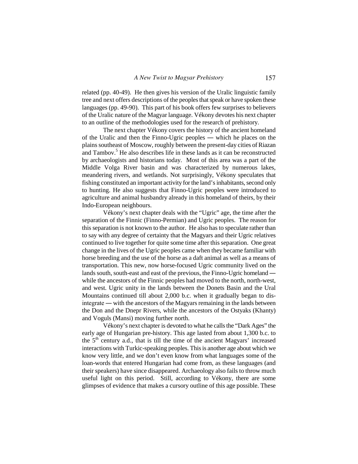related (pp. 40-49). He then gives his version of the Uralic linguistic family tree and next offers descriptions of the peoples that speak or have spoken these languages (pp. 49-90). This part of his book offers few surprises to believers of the Uralic nature of the Magyar language. Vékony devotes his next chapter to an outline of the methodologies used for the research of prehistory.

The next chapter Vékony covers the history of the ancient homeland of the Uralic and then the Finno-Ugric peoples ― which he places on the plains southeast of Moscow, roughly between the present-day cities of Riazan and Tambov.<sup>5</sup> He also describes life in these lands as it can be reconstructed by archaeologists and historians today. Most of this area was a part of the Middle Volga River basin and was characterized by numerous lakes, meandering rivers, and wetlands. Not surprisingly, Vékony speculates that fishing constituted an important activity for the land's inhabitants, second only to hunting. He also suggests that Finno-Ugric peoples were introduced to agriculture and animal husbandry already in this homeland of theirs, by their Indo-European neighbours.

Vékony's next chapter deals with the "Ugric" age, the time after the separation of the Finnic (Finno-Permian) and Ugric peoples. The reason for this separation is not known to the author. He also has to speculate rather than to say with any degree of certainty that the Magyars and their Ugric relatives continued to live together for quite some time after this separation. One great change in the lives of the Ugric peoples came when they became familiar with horse breeding and the use of the horse as a daft animal as well as a means of transportation. This new, now horse-focused Ugric community lived on the lands south, south-east and east of the previous, the Finno-Ugric homeland ― while the ancestors of the Finnic peoples had moved to the north, north-west, and west. Ugric unity in the lands between the Donets Basin and the Ural Mountains continued till about 2,000 b.c. when it gradually began to disintegrate ― with the ancestors of the Magyars remaining in the lands between the Don and the Dnepr Rivers, while the ancestors of the Ostyaks (Khanty) and Voguls (Mansi) moving further north.

Vékony's next chapter is devoted to what he calls the "Dark Ages" the early age of Hungarian pre-history. This age lasted from about 1,300 b.c. to the  $5<sup>th</sup>$  century a.d., that is till the time of the ancient Magyars' increased interactions with Turkic-speaking peoples. This is another age about which we know very little, and we don't even know from what languages some of the loan-words that entered Hungarian had come from, as these languages (and their speakers) have since disappeared. Archaeology also fails to throw much useful light on this period. Still, according to Vékony, there are some glimpses of evidence that makes a cursory outline of this age possible. These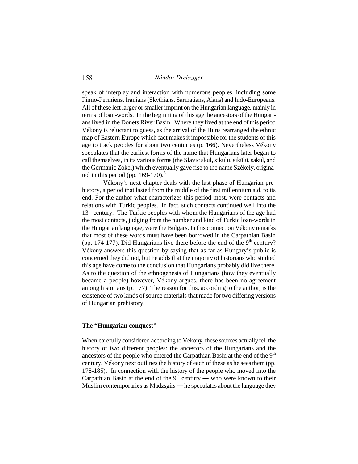speak of interplay and interaction with numerous peoples, including some Finno-Permiens, Iranians (Skythians, Sarmatians, Alans) and Indo-Europeans. All of these left larger or smaller imprint on the Hungarian language, mainly in terms of loan-words. In the beginning of this age the ancestors of the Hungarians lived in the Donets River Basin. Where they lived at the end of this period Vékony is reluctant to guess, as the arrival of the Huns rearranged the ethnic map of Eastern Europe which fact makes it impossible for the students of this age to track peoples for about two centuries (p. 166). Nevertheless Vékony speculates that the earliest forms of the name that Hungarians later began to call themselves, in its various forms (the Slavic skul, sikulu, sikülü, sakul, and the Germanic Zokel) which eventually gave rise to the name Székely, originated in this period (pp.  $169-170$ ).<sup>6</sup>

Vékony's next chapter deals with the last phase of Hungarian prehistory, a period that lasted from the middle of the first millennium a.d. to its end. For the author what characterizes this period most, were contacts and relations with Turkic peoples. In fact, such contacts continued well into the 13<sup>th</sup> century. The Turkic peoples with whom the Hungarians of the age had the most contacts, judging from the number and kind of Turkic loan-words in the Hungarian language, were the Bulgars. In this connection Vékony remarks that most of these words must have been borrowed in the Carpathian Basin (pp. 174-177). Did Hungarians live there before the end of the  $9<sup>th</sup>$  century? Vékony answers this question by saying that as far as Hungary's public is concerned they did not, but he adds that the majority of historians who studied this age have come to the conclusion that Hungarians probably did live there. As to the question of the ethnogenesis of Hungarians (how they eventually became a people) however, Vékony argues, there has been no agreement among historians (p. 177). The reason for this, according to the author, is the existence of two kinds of source materials that made for two differing versions of Hungarian prehistory.

### **The "Hungarian conquest"**

When carefully considered according to Vékony, these sources actually tell the history of two different peoples: the ancestors of the Hungarians and the ancestors of the people who entered the Carpathian Basin at the end of the  $9<sup>th</sup>$ century. Vékony next outlines the history of each of these as he sees them (pp. 178-185). In connection with the history of the people who moved into the Carpathian Basin at the end of the  $9<sup>th</sup>$  century — who were known to their Muslim contemporaries as Madzsgirs ― he speculates about the language they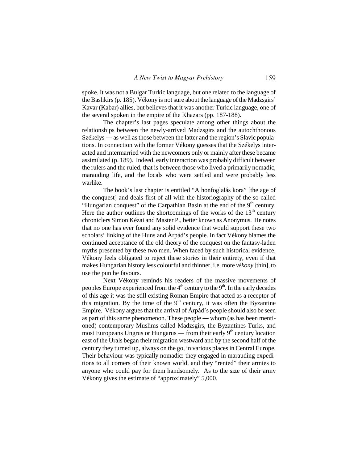spoke. It was not a Bulgar Turkic language, but one related to the language of the Bashkirs (p. 185). Vékony is not sure about the language of the Madzsgirs' Kavar (Kabar) allies, but believes that it was another Turkic language, one of the several spoken in the empire of the Khazars (pp. 187-188).

The chapter's last pages speculate among other things about the relationships between the newly-arrived Madzsgirs and the autochthonous Székelys ― as well as those between the latter and the region's Slavic populations. In connection with the former Vékony guesses that the Székelys interacted and intermarried with the newcomers only or mainly after these became assimilated (p. 189). Indeed, early interaction was probably difficult between the rulers and the ruled, that is between those who lived a primarily nomadic, marauding life, and the locals who were settled and were probably less warlike.

The book's last chapter is entitled "A honfoglalás kora" [the age of the conquest] and deals first of all with the historiography of the so-called "Hungarian conquest" of the Carpathian Basin at the end of the  $9<sup>th</sup>$  century. Here the author outlines the shortcomings of the works of the  $13<sup>th</sup>$  century chroniclers Simon Kézai and Master P., better known as Anonymus. He notes that no one has ever found any solid evidence that would support these two scholars' linking of the Huns and Árpád's people. In fact Vékony blames the continued acceptance of the old theory of the conquest on the fantasy-laden myths presented by these two men. When faced by such historical evidence, Vékony feels obligated to reject these stories in their entirety, even if that makes Hungarian history less colourful and thinner, i.e. more *vékony* [thin], to use the pun he favours.

Next Vékony reminds his readers of the massive movements of peoples Europe experienced from the  $4<sup>th</sup>$  century to the  $9<sup>th</sup>$ . In the early decades of this age it was the still existing Roman Empire that acted as a receptor of this migration. By the time of the  $9<sup>th</sup>$  century, it was often the Byzantine Empire. Vékony argues that the arrival of Árpád's people should also be seen as part of this same phenomenon. These people ― whom (as has been mentioned) contemporary Muslims called Madzsgirs, the Byzantines Turks, and most Europeans Ungrus or Hungarus — from their early  $9<sup>th</sup>$  century location east of the Urals began their migration westward and by the second half of the century they turned up, always on the go, in various places in Central Europe. Their behaviour was typically nomadic: they engaged in marauding expeditions to all corners of their known world, and they "rented" their armies to anyone who could pay for them handsomely. As to the size of their army Vékony gives the estimate of "approximately" 5,000.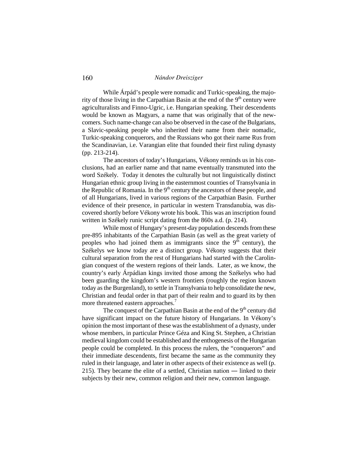While Árpád's people were nomadic and Turkic-speaking, the majority of those living in the Carpathian Basin at the end of the  $9<sup>th</sup>$  century were agriculturalists and Finno-Ugric, i.e. Hungarian speaking. Their descendents would be known as Magyars, a name that was originally that of the newcomers. Such name-change can also be observed in the case of the Bulgarians, a Slavic-speaking people who inherited their name from their nomadic, Turkic-speaking conquerors, and the Russians who got their name Rus from the Scandinavian, i.e. Varangian elite that founded their first ruling dynasty (pp. 213-214).

The ancestors of today's Hungarians, Vékony reminds us in his conclusions, had an earlier name and that name eventually transmuted into the word Székely. Today it denotes the culturally but not linguistically distinct Hungarian ethnic group living in the easternmost counties of Transylvania in the Republic of Romania. In the  $9<sup>th</sup>$  century the ancestors of these people, and of all Hungarians, lived in various regions of the Carpathian Basin. Further evidence of their presence, in particular in western Transdanubia, was discovered shortly before Vékony wrote his book. This was an inscription found written in Székely runic script dating from the 860s a.d. (p. 214).

While most of Hungary's present-day population descends from these pre-895 inhabitants of the Carpathian Basin (as well as the great variety of peoples who had joined them as immigrants since the  $9<sup>th</sup>$  century), the Székelys we know today are a distinct group. Vékony suggests that their cultural separation from the rest of Hungarians had started with the Carolingian conquest of the western regions of their lands. Later, as we know, the country's early Árpádian kings invited those among the Székelys who had been guarding the kingdom's western frontiers (roughly the region known today as the Burgenland), to settle in Transylvania to help consolidate the new, Christian and feudal order in that part of their realm and to guard its by then more threatened eastern approaches.<sup>7</sup>

The conquest of the Carpathian Basin at the end of the  $9<sup>th</sup>$  century did have significant impact on the future history of Hungarians. In Vékony's opinion the most important of these was the establishment of a dynasty, under whose members, in particular Prince Géza and King St. Stephen, a Christian medieval kingdom could be established and the enthogenesis of the Hungarian people could be completed. In this process the rulers, the "conquerors" and their immediate descendents, first became the same as the community they ruled in their language, and later in other aspects of their existence as well (p. 215). They became the elite of a settled, Christian nation ― linked to their subjects by their new, common religion and their new, common language.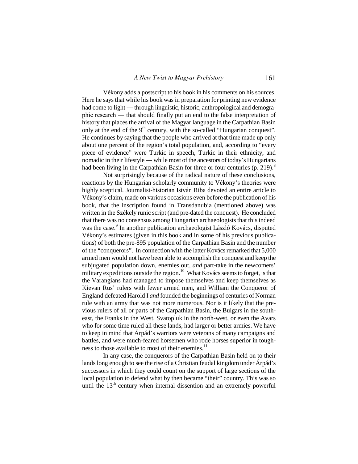Vékony adds a postscript to his book in his comments on his sources. Here he says that while his book was in preparation for printing new evidence had come to light — through linguistic, historic, anthropological and demographic research ― that should finally put an end to the false interpretation of history that places the arrival of the Magyar language in the Carpathian Basin only at the end of the  $9<sup>th</sup>$  century, with the so-called "Hungarian conquest". He continues by saying that the people who arrived at that time made up only about one percent of the region's total population, and, according to "every piece of evidence" were Turkic in speech, Turkic in their ethnicity, and nomadic in their lifestyle ― while most of the ancestors of today's Hungarians had been living in the Carpathian Basin for three or four centuries (p. 219).<sup>8</sup>

Not surprisingly because of the radical nature of these conclusions, reactions by the Hungarian scholarly community to Vékony's theories were highly sceptical. Journalist-historian István Riba devoted an entire article to Vékony's claim, made on various occasions even before the publication of his book, that the inscription found in Transdanubia (mentioned above) was written in the Székely runic script (and pre-dated the conquest). He concluded that there was no consensus among Hungarian archaeologists that this indeed was the case.<sup>9</sup> In another publication archaeologist László Kovács, disputed Vékony's estimates (given in this book and in some of his previous publications) of both the pre-895 population of the Carpathian Basin and the number of the "conquerors". In connection with the latter Kovács remarked that 5,000 armed men would not have been able to accomplish the conquest and keep the subjugated population down, enemies out, *and* part-take in the newcomers' military expeditions outside the region.<sup>10</sup> What Kovács seems to forget, is that the Varangians had managed to impose themselves and keep themselves as Kievan Rus' rulers with fewer armed men, and William the Conqueror of England defeated Harold I *and* founded the beginnings of centuries of Norman rule with an army that was not more numerous. Nor is it likely that the previous rulers of all or parts of the Carpathian Basin, the Bulgars in the southeast, the Franks in the West, Svatopluk in the north-west, or even the Avars who for some time ruled all these lands, had larger or better armies. We have to keep in mind that Árpád's warriors were veterans of many campaigns and battles, and were much-feared horsemen who rode horses superior in toughness to those available to most of their enemies.<sup>11</sup>

In any case, the conquerors of the Carpathian Basin held on to their lands long enough to see the rise of a Christian feudal kingdom under Árpád's successors in which they could count on the support of large sections of the local population to defend what by then became "their" country. This was so until the 13<sup>th</sup> century when internal dissention and an extremely powerful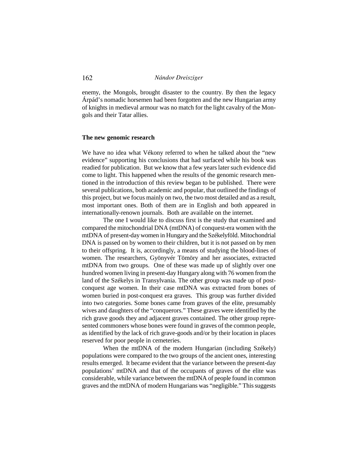enemy, the Mongols, brought disaster to the country. By then the legacy Árpád's nomadic horsemen had been forgotten and the new Hungarian army of knights in medieval armour was no match for the light cavalry of the Mongols and their Tatar allies.

#### **The new genomic research**

We have no idea what Vékony referred to when he talked about the "new evidence" supporting his conclusions that had surfaced while his book was readied for publication. But we know that a few years later such evidence did come to light. This happened when the results of the genomic research mentioned in the introduction of this review began to be published. There were several publications, both academic and popular, that outlined the findings of this project, but we focus mainly on two, the two most detailed and as a result, most important ones. Both of them are in English and both appeared in internationally-renown journals. Both are available on the internet.

The one I would like to discuss first is the study that examined and compared the mitochondrial DNA (mtDNA) of conquest-era women with the mtDNA of present-day women in Hungary and the Székelyföld. Mitochondrial DNA is passed on by women to their children, but it is not passed on by men to their offspring. It is, accordingly, a means of studying the blood-lines of women. The researchers, Gyönyvér Tömöry and her associates, extracted mtDNA from two groups. One of these was made up of slightly over one hundred women living in present-day Hungary along with 76 women from the land of the Székelys in Transylvania. The other group was made up of postconquest age women. In their case mtDNA was extracted from bones of women buried in post-conquest era graves. This group was further divided into two categories. Some bones came from graves of the elite, presumably wives and daughters of the "conquerors." These graves were identified by the rich grave goods they and adjacent graves contained. The other group represented commoners whose bones were found in graves of the common people, as identified by the lack of rich grave-goods and/or by their location in places reserved for poor people in cemeteries.

When the mtDNA of the modern Hungarian (including Székely) populations were compared to the two groups of the ancient ones, interesting results emerged. It became evident that the variance between the present-day populations' mtDNA and that of the occupants of graves of the elite was considerable, while variance between the mtDNA of people found in common graves and the mtDNA of modern Hungarians was "negligible." This suggests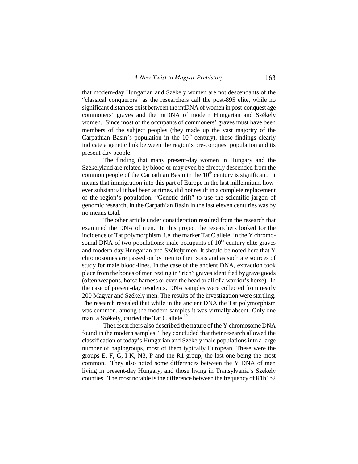that modern-day Hungarian and Székely women are not descendants of the "classical conquerors" as the researchers call the post-895 elite, while no significant distances exist between the mtDNA of women in post-conquest age commoners' graves and the mtDNA of modern Hungarian and Székely women. Since most of the occupants of commoners' graves must have been members of the subject peoples (they made up the vast majority of the Carpathian Basin's population in the  $10<sup>th</sup>$  century), these findings clearly indicate a genetic link between the region's pre-conquest population and its present-day people.

The finding that many present-day women in Hungary and the Székelyland are related by blood or may even be directly descended from the common people of the Carpathian Basin in the  $10<sup>th</sup>$  century is significant. It means that immigration into this part of Europe in the last millennium, however substantial it had been at times, did not result in a complete replacement of the region's population. "Genetic drift" to use the scientific jargon of genomic research, in the Carpathian Basin in the last eleven centuries was by no means total.

The other article under consideration resulted from the research that examined the DNA of men. In this project the researchers looked for the incidence of Tat polymorphism, i.e. the marker Tat C allele, in the Y chromosomal DNA of two populations: male occupants of  $10<sup>th</sup>$  century elite graves and modern-day Hungarian and Székely men. It should be noted here that Y chromosomes are passed on by men to their sons and as such are sources of study for male blood-lines. In the case of the ancient DNA, extraction took place from the bones of men resting in "rich" graves identified by grave goods (often weapons, horse harness or even the head or all of a warrior's horse). In the case of present-day residents, DNA samples were collected from nearly 200 Magyar and Székely men. The results of the investigation were startling. The research revealed that while in the ancient DNA the Tat polymorphism was common, among the modern samples it was virtually absent. Only one man, a Székely, carried the Tat C allele.<sup>12</sup>

The researchers also described the nature of the Y chromosome DNA found in the modern samples. They concluded that their research allowed the classification of today's Hungarian and Székely male populations into a large number of haplogroups, most of them typically European. These were the groups E, F, G, I K, N3, P and the R1 group, the last one being the most common. They also noted some differences between the Y DNA of men living in present-day Hungary, and those living in Transylvania's Székely counties. The most notable is the difference between the frequency of R1b1b2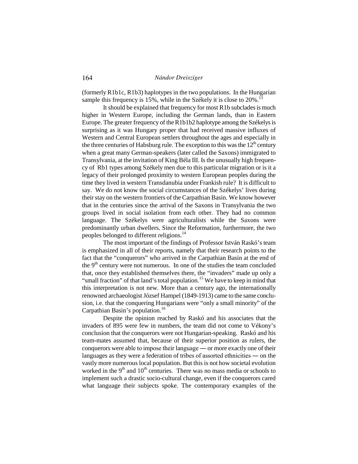(formerly R1b1c, R1b3) haplotypes in the two populations. In the Hungarian sample this frequency is 15%, while in the Székely it is close to 20%.<sup>13</sup>

It should be explained that frequency for most R1b subclades is much higher in Western Europe, including the German lands, than in Eastern Europe. The greater frequency of the R1b1b2 haplotype among the Székelys is surprising as it was Hungary proper that had received massive influxes of Western and Central European settlers throughout the ages and especially in the three centuries of Habsburg rule. The exception to this was the  $12<sup>th</sup>$  century when a great many German-speakers (later called the Saxons) immigrated to Transylvania, at the invitation of King Béla III. Is the unusually high frequency of Rb1 types among Székely men due to this particular migration or is it a legacy of their prolonged proximity to western European peoples during the time they lived in western Transdanubia under Frankish rule? It is difficult to say. We do not know the social circumstances of the Székelys' lives during their stay on the western frontiers of the Carpathian Basin. We know however that in the centuries since the arrival of the Saxons in Transylvania the two groups lived in social isolation from each other. They had no common language. The Székelys were agriculturalists while the Saxons were predominantly urban dwellers. Since the Reformation, furthermore, the two peoples belonged to different religions.<sup>14</sup>

The most important of the findings of Professor István Raskó's team is emphasized in all of their reports, namely that their research points to the fact that the "conquerors" who arrived in the Carpathian Basin at the end of the  $9<sup>th</sup>$  century were not numerous. In one of the studies the team concluded that, once they established themselves there, the "invaders" made up only a "small fraction" of that land's total population.<sup>15</sup> We have to keep in mind that this interpretation is not new. More than a century ago, the internationally renowned archaeologist József Hampel (1849-1913) came to the same conclusion, i.e. that the conquering Hungarians were "only a small minority" of the Carpathian Basin's population.<sup>16</sup>

Despite the opinion reached by Raskó and his associates that the invaders of 895 were few in numbers, the team did not come to Vékony's conclusion that the conquerors were not Hungarian-speaking. Raskó and his team-mates assumed that, because of their superior position as rulers, the conquerors were able to impose their language ― or more exactly one of their languages as they were a federation of tribes of assorted ethnicities ― on the vastly more numerous local population. But this is not how societal evolution worked in the  $9<sup>th</sup>$  and  $10<sup>th</sup>$  centuries. There was no mass media or schools to implement such a drastic socio-cultural change, even if the conquerors cared what language their subjects spoke. The contemporary examples of the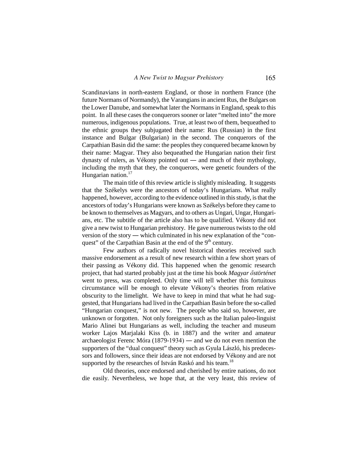Scandinavians in north-eastern England, or those in northern France (the future Normans of Normandy), the Varangians in ancient Rus, the Bulgars on the Lower Danube, and somewhat later the Normans in England, speak to this point. In all these cases the conquerors sooner or later "melted into" the more numerous, indigenous populations. True, at least two of them, bequeathed to the ethnic groups they subjugated their name: Rus (Russian) in the first instance and Bulgar (Bulgarian) in the second. The conquerors of the Carpathian Basin did the same: the peoples they conquered became known by their name: Magyar. They also bequeathed the Hungarian nation their first dynasty of rulers, as Vékony pointed out ― and much of their mythology, including the myth that they, the conquerors, were genetic founders of the Hungarian nation.<sup>17</sup>

The main title of this review article is slightly misleading. It suggests that the Székelys were the ancestors of today's Hungarians. What really happened, however, according to the evidence outlined in this study, is that the ancestors of today's Hungarians were known as Székelys before they came to be known to themselves as Magyars, and to others as Ungari, Ungar, Hungarians, etc. The subtitle of the article also has to be qualified. Vékony did not give a new twist to Hungarian prehistory. He gave numerous twists to the old version of the story ― which culminated in his new explanation of the "conquest" of the Carpathian Basin at the end of the 9<sup>th</sup> century.

Few authors of radically novel historical theories received such massive endorsement as a result of new research within a few short years of their passing as Vékony did. This happened when the genomic research project, that had started probably just at the time his book *Magyar őstörténet* went to press, was completed. Only time will tell whether this fortuitous circumstance will be enough to elevate Vékony's theories from relative obscurity to the limelight. We have to keep in mind that what he had suggested, that Hungarians had lived in the Carpathian Basin before the so-called "Hungarian conquest," is not new. The people who said so, however, are unknown or forgotten. Not only foreigners such as the Italian paleo-linguist Mario Alinei but Hungarians as well, including the teacher and museum worker Lajos Marjalaki Kiss (b. in 1887) and the writer and amateur archaeologist Ferenc Móra (1879-1934) ― and we do not even mention the supporters of the "dual conquest" theory such as Gyula László, his predecessors and followers, since their ideas are not endorsed by Vékony and are not supported by the researches of István Raskó and his team.<sup>18</sup>

Old theories, once endorsed and cherished by entire nations, do not die easily. Nevertheless, we hope that, at the very least, this review of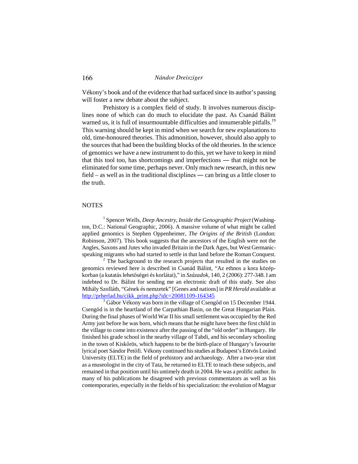Vékony's book and of the evidence that had surfaced since its author's passing will foster a new debate about the subject.

Prehistory is a complex field of study. It involves numerous disciplines none of which can do much to elucidate the past. As Csanád Bálint warned us, it is full of insurmountable difficulties and innumerable pitfalls.<sup>19</sup> This warning should be kept in mind when we search for new explanations to old, time-honoured theories. This admonition, however, should also apply to the sources that had been the building blocks of the old theories. In the science of genomics we have a new instrument to do this, yet we have to keep in mind that this tool too, has shortcomings and imperfections ― that might not be eliminated for some time, perhaps never. Only much new research, in this new field – as well as in the traditional disciplines ― can bring us a little closer to the truth.

### **NOTES**

<sup>1</sup> Spencer Wells, *Deep Ancestry, Inside the Genographic Project* (Washington, D.C.: National Geographic, 2006). A massive volume of what might be called applied genomics is Stephen Oppenheimer, *The Origins of the British* (London: Robinson, 2007). This book suggests that the ancestors of the English were not the Angles, Saxons and Jutes who invaded Britain in the Dark Ages, but West Germanicspeaking migrants who had started to settle in that land before the Roman Conquest.

 $\frac{1}{2}$ . The background to the research projects that resulted in the studies on genomics reviewed here is described in Csanád Bálint, "Az ethnos a kora középkorban (a kutatás lehetőségei és korlátai)," in *Századok,* 140, 2 (2006): 277-348. I am indebted to Dr. Bálint for sending me an electronic draft of this study. See also Mihály Szolláth, "Gének és nemzetek" [Genes and nations] in *PR Herald* available at [http://prherlad.hu/cikk\\_print.php?idc=20081109-164345](http://prherlad.hu/cikk_print.php?idc=20081109-164345)

<sup>3</sup> Gábor Vékony was born in the village of Csengőd on 15 December 1944. Csengőd is in the heartland of the Carpathian Basin, on the Great Hungarian Plain. During the final phases of World War II his small settlement was occupied by the Red Army just before he was born, which means that he might have been the first child in the village to come into existence after the passing of the "old order" in Hungary. He finished his grade school in the nearby village of Tabdi, and his secondary schooling in the town of Kiskőrös, which happens to be the birth-place of Hungary's favourite lyrical poet Sándor Petőfi. Vékony continued his studies at Budapest's Eötvös Loránd University (ELTE) in the field of prehistory and archaeology. After a two-year stint as a museologist in the city of Tata, he returned to ELTE to teach these subjects, and remained in that position until his untimely death in 2004. He was a prolific author. In many of his publications he disagreed with previous commentators as well as his contemporaries, especially in the fields of his specialization: the evolution of Magyar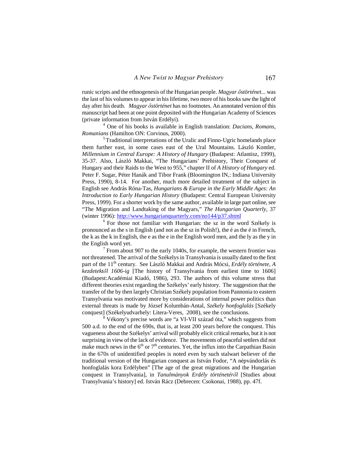runic scripts and the ethnogenesis of the Hungarian people. *Magyar őstörténet...* was the last of his volumes to appear in his lifetime, two more of his books saw the light of day after his death. *Magyar őstörténet* has no footnotes. An annotated version ofthis manuscript had been at one point deposited with the Hungarian Academy of Sciences (private information from István Erdélyi).

<sup>4</sup> One of his books is available in English translation: *Dacians, Romans, Romanians* (Hamilton ON: Corvinus, 2000).

<sup>5</sup>Traditional interpretations of the Uralic and Finno-Ugric homelands place them further east, in some cases east of the Ural Mountains. László Kontler, *Millennium in Central Europe: A History of Hungary* (Budapest: Atlantisz, 1999), 35-37. Also, László Makkai, "The Hungarians' Prehistory, Their Conquest of Hungary and their Raids to the West to 955," chapter II of *A History of Hungary* ed. Peter F. Sugar, Péter Hanák and Tibor Frank (Bloomington IN,: Indiana University Press, 1990), 8-14. For another, much more detailed treatment of the subject in English see András Róna-Tas, *Hungarians & Europe in the Early Middle Ages: An Introduction to Early Hungarian History* (Budapest: Central European University Press, 1999). For a shorter work by the same author, available in large part online, see "The Migration and Landtaking of the Magyars," *The Hungarian Quarterly*, 37 (winter 1996): <http://www.hungarianquarterly.com/no144/p37.shtml>

6 For those not familiar with Hungarian: the sz in the word Székely is pronounced as the s in English (and not as the sz in Polish!), the é as the é in French, the k as the k in English, the e as the e in the English word men, and the ly as the y in the English word yet.

 $<sup>7</sup>$  From about 907 to the early 1040s, for example, the western frontier was</sup> not threatened. The arrival of the Székelys in Transylvania is usually dated to the first part of the 11<sup>th</sup> century. See László Makkai and András Mócsi, *Erdély története*, A *kezdetektől 1606-ig* [The history of Transylvania from earliest time to 1606] (Budapest:Académiai Kiadó, 1986), 293. The authors of this volume stress that different theories exist regarding the Székelys' early history. The suggestion that the transfer of the by then largely Christian Székely population from Pannonia to eastern Transylvania was motivated more by considerations of internal power politics than external threats is made by József Kolumbán-Antal, *Székely honfoglalás* [Székely conquest] (Székelyudvarhely: Litera-Veres, 2008), see the conclusions.

<sup>8</sup> Vékony's precise words are "a VI-VII század óta," which suggests from 500 a.d. to the end of the 690s, that is, at least 200 years before the conquest. This vagueness about the Székelys' arrival will probably elicit critical remarks, but it is not surprising in view of the lack of evidence. The movements of peaceful settlers did not make much news in the  $6<sup>th</sup>$  or  $7<sup>th</sup>$  centuries. Yet, the influx into the Carpathian Basin in the 670s of unidentified peoples is noted even by such stalwart believer of the traditional version of the Hungarian conquest as István Fodor, "A népvándorlás és honfoglalás kora Erdélyben" [The age of the great migrations and the Hungarian conquest in Transylvania], in *Tanulmányok Erdély történetéről* [Studies about Transylvania's history] ed. István Rácz (Debrecen: Csokonai, 1988), pp. 47f.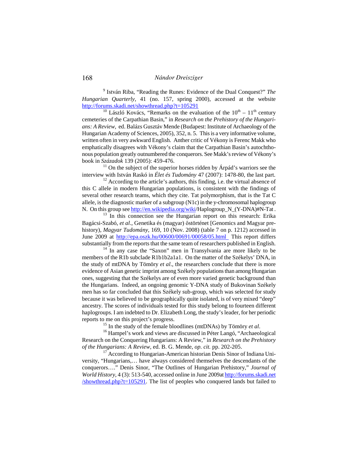9 István Riba, "Reading the Runes: Evidence of the Dual Conquest?" *The Hungarian Quarterly,* 41 (no. 157, spring 2000), accessed at the website <http://forums.skadi.net/showthread.php?t=105291>

<sup>10</sup> László Kovács, "Remarks on the evaluation of the  $10<sup>th</sup> - 11<sup>th</sup>$  century cemeteries of the Carpathian Basin," in *Research on the Prehistory of the Hungarians: A Review,* ed. Balázs Gusztáv Mende (Budapest: Institute of Archaeology of the Hungarian Academy of Sciences, 2005), 352, n. 5. This is a very informative volume, written often in very awkward English. Anther critic of Vékony is Ferenc Makk who emphatically disagrees with Vékony's claim that the Carpathian Basin's autochthonous population greatly outnumbered the conquerors. See Makk's review of Vékony's book in *Századok* 139 (2005): 459-476.

 $11$  On the subject of the superior horses ridden by Árpád's warriors see the interview with István Raskó in *Élet és Tudomány* 47 (2007): 1478-80, the last part.

 $12$  According to the article's authors, this finding, i.e. the virtual absence of this C allele in modern Hungarian populations, is consistent with the findings of several other research teams, which they cite. Tat polymorphism, that is the Tat C allele, is the diagnostic marker of a subgroup (N1c) in the y-chromosomal haplogroup N. On this group see [http://en.wikipedia.org/wiki/](http://en.wikipedia.org/wiki)Haplogroup\_N\_(Y-DNA)#N-Tat .

<sup>13</sup> In this connection see the Hungarian report on this research: Erika Bagácsi-Szabó, *et al*., Genetika és (magyar) őstörténet [Genomics and Magyar prehistory), *Magyar Tudomány,* 169, 10 (Nov. 2008) (table 7 on p. 1212) accessed in June 2009 at <http://epa.oszk.hu/00600/00691/00058/05.html> This report differs substantially from the reports that the same team of researchers published in English.

 $14$  In any case the "Saxon" men in Transylvania are more likely to be members of the R1b subclade R1b1b2a1a1. On the matter of the Székelys' DNA, in the study of mtDNA by Tömöry *et al*., the researchers conclude that there is more evidence of Asian genetic imprint among Székely populations than among Hungarian ones, suggesting that the Székelys are of even more varied genetic background than the Hungarians. Indeed, an ongoing genomic Y-DNA study of Bukovinan Székely men has so far concluded that this Székely sub-group, which was selected for study because it was believed to be geographically quite isolated, is of very mixed "deep" ancestry. The scores of individuals tested for this study belong to fourteen different haplogroups. I am indebted to Dr. Elizabeth Long, the study's leader, for her periodic reports to me on this project's progress.

<sup>15</sup> In the study of the female bloodlines (mtDNAs) by Tömöry *et al*.

<sup>16</sup> Hampel's work and views are discussed in Péter Langó, "Archaeological Research on the Conquering Hungarians: A Review," in *Research on the Prehistory of the Hungarians: A Review,* ed. B. G. Mende, *op. cit.* pp. 202-205.

<sup>17</sup> According to Hungarian-American historian Denis Sinor of Indiana University, "Hungarians,… have always considered themselves the descendants of the conquerors…." Denis Sinor, "The Outlines of Hungarian Prehistory," *Journal of World History,* 4 (3): 513-54[0, accessed online in June 2009at](http://forums.skadi.net/showthread.php?t=105291) http://forums.skadi.net  $\frac{s$ howthread.php?t=105291. The list of peoples who conquered lands but failed to